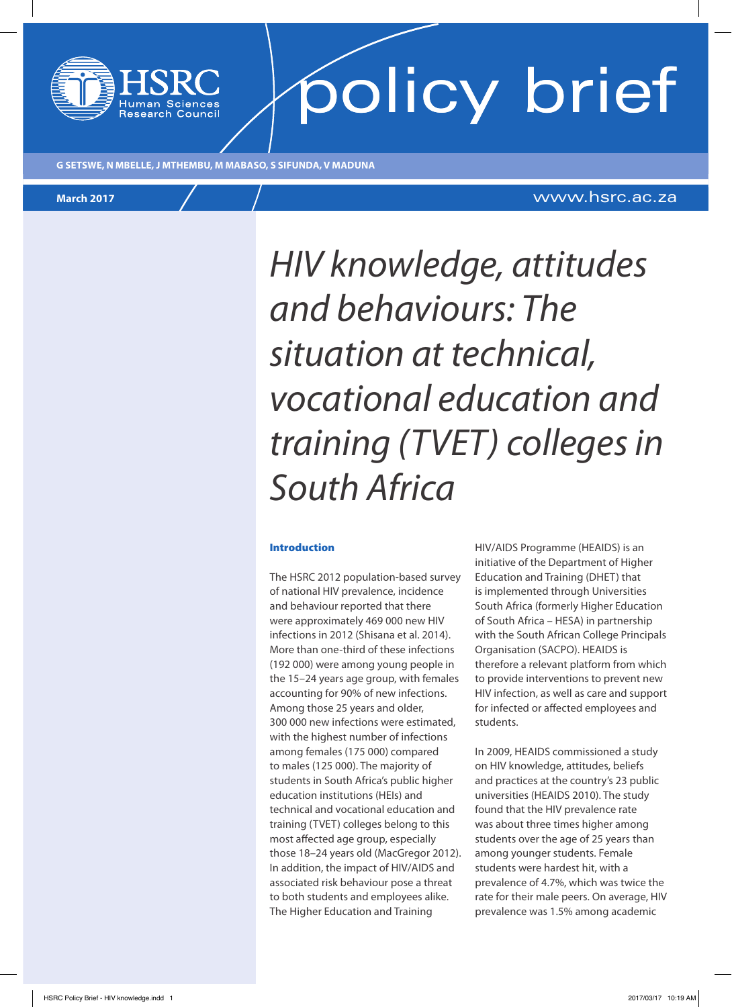

# policy brief

**G SETSWE, N MBELLE, J MTHEMBU, M MABASO, S SIFUNDA, V MADUNA**

### **March 2017** www.hsrc.ac.za

*HIV knowledge, attitudes and behaviours: The situation at technical, vocational education and training (TVET) colleges in South Africa*

### Introduction

The HSRC 2012 population-based survey of national HIV prevalence, incidence and behaviour reported that there were approximately 469 000 new HIV infections in 2012 (Shisana et al. 2014). More than one-third of these infections (192 000) were among young people in the 15–24 years age group, with females accounting for 90% of new infections. Among those 25 years and older, 300 000 new infections were estimated, with the highest number of infections among females (175 000) compared to males (125 000). The majority of students in South Africa's public higher education institutions (HEIs) and technical and vocational education and training (TVET) colleges belong to this most affected age group, especially those 18–24 years old (MacGregor 2012). In addition, the impact of HIV/AIDS and associated risk behaviour pose a threat to both students and employees alike. The Higher Education and Training

HIV/AIDS Programme (HEAIDS) is an initiative of the Department of Higher Education and Training (DHET) that is implemented through Universities South Africa (formerly Higher Education of South Africa – HESA) in partnership with the South African College Principals Organisation (SACPO). HEAIDS is therefore a relevant platform from which to provide interventions to prevent new HIV infection, as well as care and support for infected or affected employees and students.

In 2009, HEAIDS commissioned a study on HIV knowledge, attitudes, beliefs and practices at the country's 23 public universities (HEAIDS 2010). The study found that the HIV prevalence rate was about three times higher among students over the age of 25 years than among younger students. Female students were hardest hit, with a prevalence of 4.7%, which was twice the rate for their male peers. On average, HIV prevalence was 1.5% among academic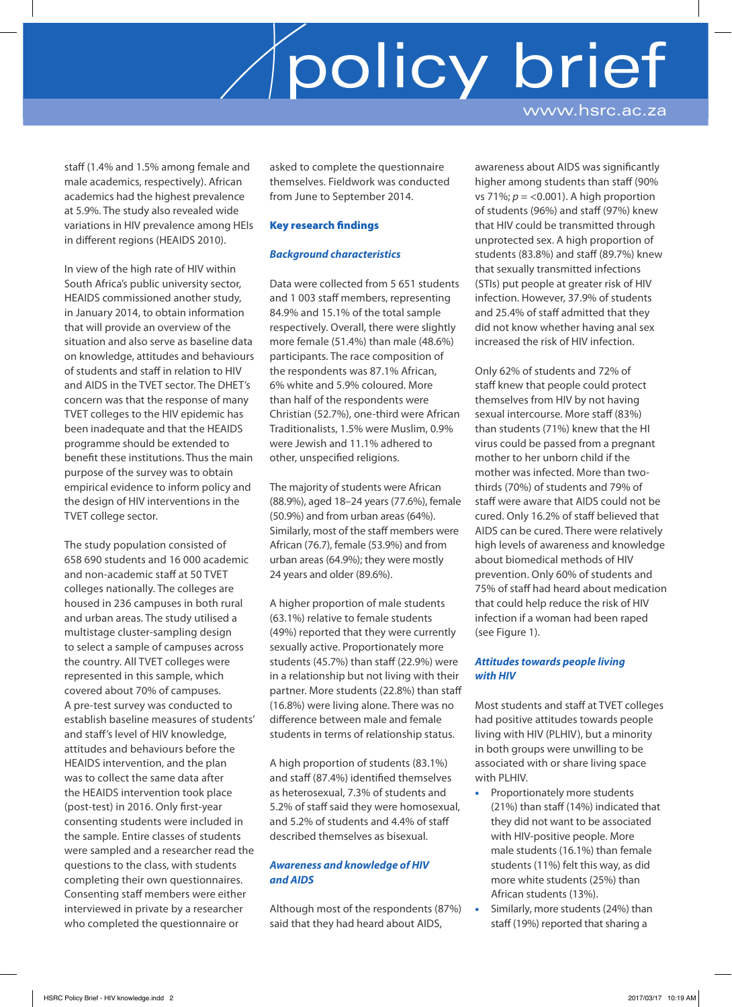### policy brief www.hsrc.ac.za

staff (1.4% and 1.5% among female and male academics, respectively). African academics had the highest prevalence at 5.9%. The study also revealed wide variations in HIV prevalence among HEIs in different regions (HEAIDS 2010).

In view of the high rate of HIV within South Africa's public university sector, HEAIDS commissioned another study, in January 2014, to obtain information that will provide an overview of the situation and also serve as baseline data on knowledge, attitudes and behaviours of students and staff in relation to HIV and AIDS in the TVET sector. The DHET's concern was that the response of many TVET colleges to the HIV epidemic has been inadequate and that the HEAIDS programme should be extended to benefit these institutions. Thus the main purpose of the survey was to obtain empirical evidence to inform policy and the design of HIV interventions in the TVET college sector.

The study population consisted of 658 690 students and 16 000 academic and non-academic staff at 50 TVET colleges nationally. The colleges are housed in 236 campuses in both rural and urban areas. The study utilised a multistage cluster-sampling design to select a sample of campuses across the country. All TVET colleges were represented in this sample, which covered about 70% of campuses. A pre-test survey was conducted to establish baseline measures of students' and staff's level of HIV knowledge, attitudes and behaviours before the HEAIDS intervention, and the plan was to collect the same data after the HEAIDS intervention took place (post-test) in 2016. Only first-year consenting students were included in the sample. Entire classes of students were sampled and a researcher read the questions to the class, with students completing their own questionnaires. Consenting staff members were either interviewed in private by a researcher who completed the questionnaire or

asked to complete the questionnaire themselves. Fieldwork was conducted from June to September 2014.

### Key research findings

### *Background characteristics*

Data were collected from 5 651 students and 1 003 staff members, representing 84.9% and 15.1% of the total sample respectively. Overall, there were slightly more female (51.4%) than male (48.6%) participants. The race composition of the respondents was 87.1% African, 6% white and 5.9% coloured. More than half of the respondents were Christian (52.7%), one-third were African Traditionalists, 1.5% were Muslim, 0.9% were Jewish and 11.1% adhered to other, unspecified religions.

The majority of students were African (88.9%), aged 18–24 years (77.6%), female (50.9%) and from urban areas (64%). Similarly, most of the staff members were African (76.7), female (53.9%) and from urban areas (64.9%); they were mostly 24 years and older (89.6%).

A higher proportion of male students (63.1%) relative to female students (49%) reported that they were currently sexually active. Proportionately more students (45.7%) than staff (22.9%) were in a relationship but not living with their partner. More students (22.8%) than staff (16.8%) were living alone. There was no difference between male and female students in terms of relationship status.

A high proportion of students (83.1%) and staff (87.4%) identified themselves as heterosexual, 7.3% of students and 5.2% of staff said they were homosexual, and 5.2% of students and 4.4% of staff described themselves as bisexual.

### *Awareness and knowledge of HIV and AIDS*

Although most of the respondents (87%) said that they had heard about AIDS,

awareness about AIDS was significantly higher among students than staff (90% vs 71%;  $p = 0.001$ ). A high proportion of students (96%) and staff (97%) knew that HIV could be transmitted through unprotected sex. A high proportion of students (83.8%) and staff (89.7%) knew that sexually transmitted infections (STIs) put people at greater risk of HIV infection. However, 37.9% of students and 25.4% of staff admitted that they did not know whether having anal sex increased the risk of HIV infection.

Only 62% of students and 72% of staff knew that people could protect themselves from HIV by not having sexual intercourse. More staff (83%) than students (71%) knew that the HI virus could be passed from a pregnant mother to her unborn child if the mother was infected. More than twothirds (70%) of students and 79% of staff were aware that AIDS could not be cured. Only 16.2% of staff believed that AIDS can be cured. There were relatively high levels of awareness and knowledge about biomedical methods of HIV prevention. Only 60% of students and 75% of staff had heard about medication that could help reduce the risk of HIV infection if a woman had been raped (see Figure 1).

### *Attitudes towards people living with HIV*

Most students and staff at TVET colleges had positive attitudes towards people living with HIV (PLHIV), but a minority in both groups were unwilling to be associated with or share living space with PLHIV.

- Proportionately more students (21%) than staff (14%) indicated that they did not want to be associated with HIV-positive people. More male students (16.1%) than female students (11%) felt this way, as did more white students (25%) than African students (13%).
- Similarly, more students (24%) than staff (19%) reported that sharing a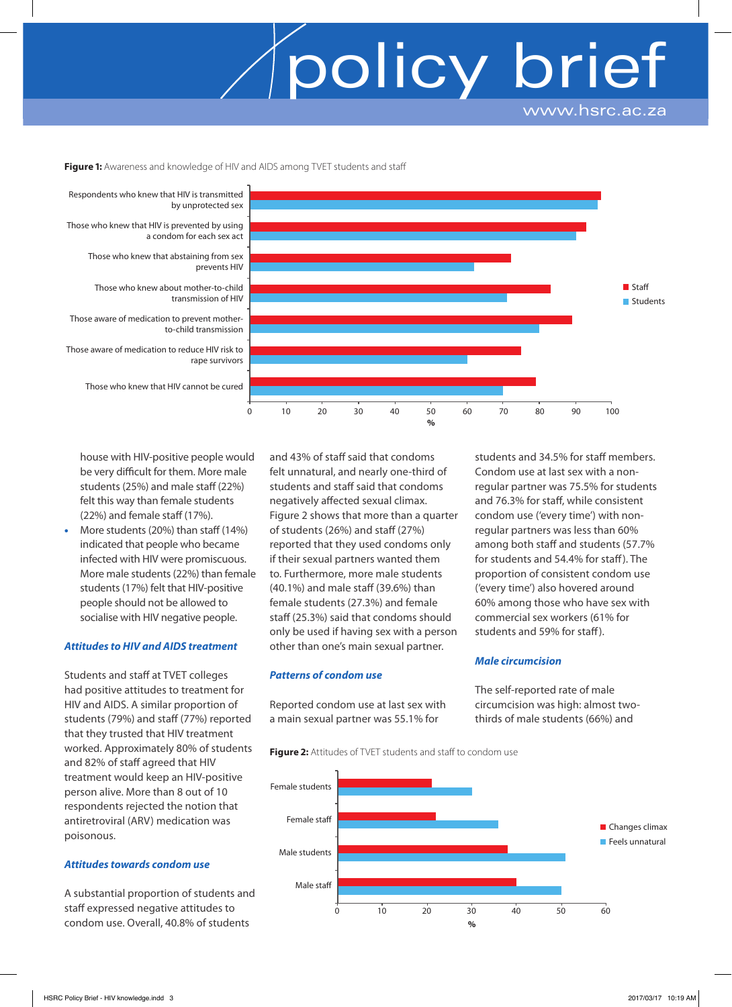### policy brie www.hsrc.ac.za

Figure 1: Awareness and knowledge of HIV and AIDS among TVET students and staff



house with HIV-positive people would be very difficult for them. More male students (25%) and male staff (22%) felt this way than female students (22%) and female staff (17%).

• More students (20%) than staff (14%) indicated that people who became infected with HIV were promiscuous. More male students (22%) than female students (17%) felt that HIV-positive people should not be allowed to socialise with HIV negative people.

### *Attitudes to HIV and AIDS treatment*

Students and staff at TVET colleges had positive attitudes to treatment for HIV and AIDS. A similar proportion of students (79%) and staff (77%) reported that they trusted that HIV treatment worked. Approximately 80% of students and 82% of staff agreed that HIV treatment would keep an HIV-positive person alive. More than 8 out of 10 respondents rejected the notion that antiretroviral (ARV) medication was poisonous.

### *Attitudes towards condom use*

A substantial proportion of students and staff expressed negative attitudes to condom use. Overall, 40.8% of students

and 43% of staff said that condoms felt unnatural, and nearly one-third of students and staff said that condoms negatively affected sexual climax. Figure 2 shows that more than a quarter of students (26%) and staff (27%) reported that they used condoms only if their sexual partners wanted them to. Furthermore, more male students (40.1%) and male staff (39.6%) than female students (27.3%) and female staff (25.3%) said that condoms should only be used if having sex with a person other than one's main sexual partner.

### *Patterns of condom use*

Reported condom use at last sex with a main sexual partner was 55.1% for

students and 34.5% for staff members. Condom use at last sex with a nonregular partner was 75.5% for students and 76.3% for staff, while consistent condom use ('every time') with nonregular partners was less than 60% among both staff and students (57.7% for students and 54.4% for staff). The proportion of consistent condom use ('every time') also hovered around 60% among those who have sex with commercial sex workers (61% for students and 59% for staff ).

### *Male circumcision*

The self-reported rate of male circumcision was high: almost twothirds of male students (66%) and

**Figure 2:** Attitudes of TVET students and staff to condom use

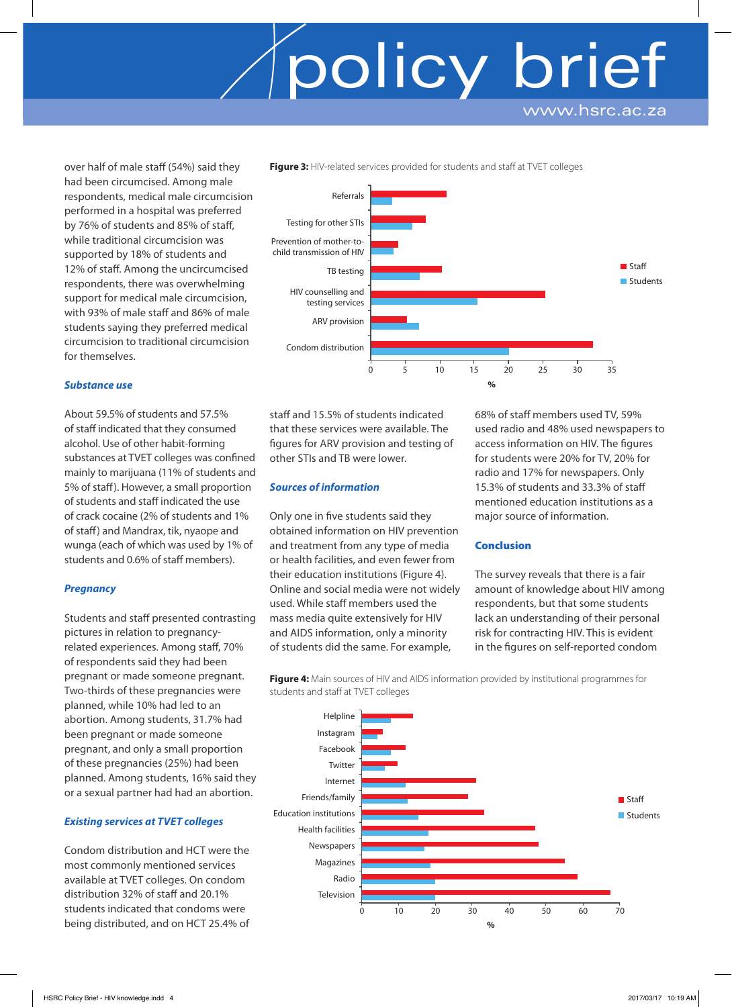### policy brief www.hsrc.ac.za

over half of male staff (54%) said they had been circumcised. Among male respondents, medical male circumcision performed in a hospital was preferred by 76% of students and 85% of staff, while traditional circumcision was supported by 18% of students and 12% of staff. Among the uncircumcised respondents, there was overwhelming support for medical male circumcision, with 93% of male staff and 86% of male students saying they preferred medical circumcision to traditional circumcision for themselves.

### *Substance use*

About 59.5% of students and 57.5% of staff indicated that they consumed alcohol. Use of other habit-forming substances at TVET colleges was confined mainly to marijuana (11% of students and 5% of staff). However, a small proportion of students and staff indicated the use of crack cocaine (2% of students and 1% of staff) and Mandrax, tik, nyaope and wunga (each of which was used by 1% of students and 0.6% of staff members).

### *Pregnancy*

Students and staff presented contrasting pictures in relation to pregnancyrelated experiences. Among staff, 70% of respondents said they had been pregnant or made someone pregnant. Two-thirds of these pregnancies were planned, while 10% had led to an abortion. Among students, 31.7% had been pregnant or made someone pregnant, and only a small proportion of these pregnancies (25%) had been planned. Among students, 16% said they or a sexual partner had had an abortion.

### *Existing services at TVET colleges*

Condom distribution and HCT were the most commonly mentioned services available at TVET colleges. On condom distribution 32% of staff and 20.1% students indicated that condoms were being distributed, and on HCT 25.4% of

Referrals Testing for other STIs Prevention of mother-tochild transmission of HIV TB testing HIV counselling and testing services ARV provision Condom distribution 0 5 10 15 20 25 30 35 Staff **Students %**

staff and 15.5% of students indicated that these services were available. The figures for ARV provision and testing of other STIs and TB were lower.

### *Sources of information*

Only one in five students said they obtained information on HIV prevention and treatment from any type of media or health facilities, and even fewer from their education institutions (Figure 4). Online and social media were not widely used. While staff members used the mass media quite extensively for HIV and AIDS information, only a minority of students did the same. For example,

68% of staff members used TV, 59% used radio and 48% used newspapers to access information on HIV. The figures for students were 20% for TV, 20% for radio and 17% for newspapers. Only 15.3% of students and 33.3% of staff mentioned education institutions as a major source of information.

### Conclusion

The survey reveals that there is a fair amount of knowledge about HIV among respondents, but that some students lack an understanding of their personal risk for contracting HIV. This is evident in the figures on self-reported condom

**Figure 4:** Main sources of HIV and AIDS information provided by institutional programmes for students and staff at TVET colleges



**Figure 3:** HIV-related services provided for students and staff at TVET colleges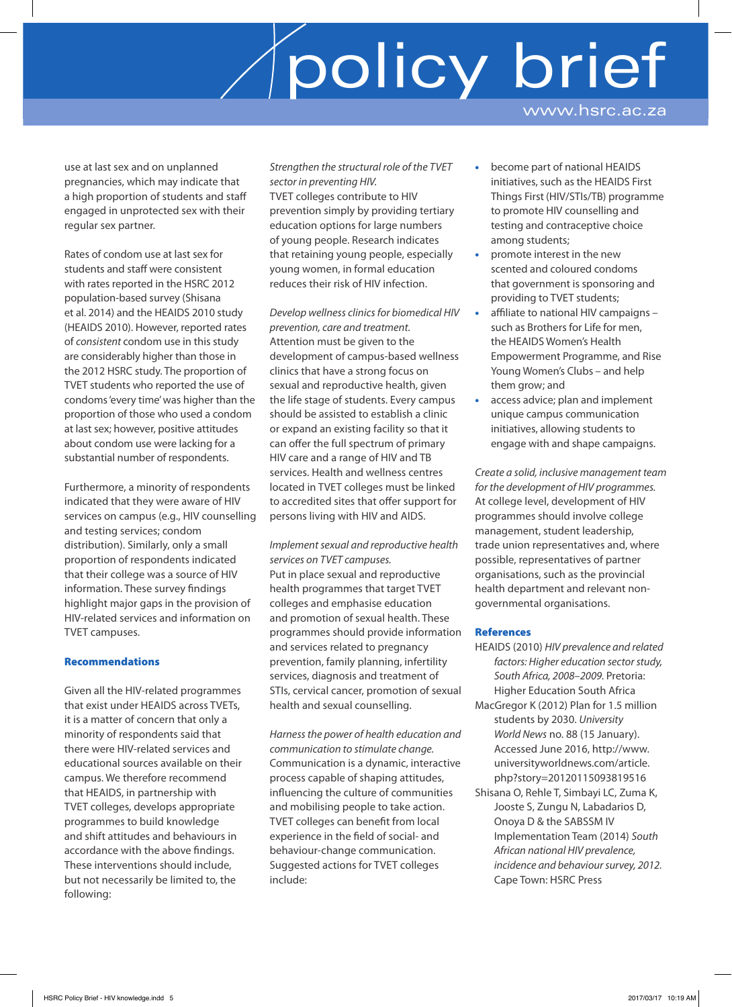### policy brief www.hsrc.ac.za

use at last sex and on unplanned pregnancies, which may indicate that a high proportion of students and staff engaged in unprotected sex with their regular sex partner.

Rates of condom use at last sex for students and staff were consistent with rates reported in the HSRC 2012 population-based survey (Shisana et al. 2014) and the HEAIDS 2010 study (HEAIDS 2010). However, reported rates of *consistent* condom use in this study are considerably higher than those in the 2012 HSRC study. The proportion of TVET students who reported the use of condoms 'every time' was higher than the proportion of those who used a condom at last sex; however, positive attitudes about condom use were lacking for a substantial number of respondents.

Furthermore, a minority of respondents indicated that they were aware of HIV services on campus (e.g., HIV counselling and testing services; condom distribution). Similarly, only a small proportion of respondents indicated that their college was a source of HIV information. These survey findings highlight major gaps in the provision of HIV-related services and information on TVET campuses.

### Recommendations

Given all the HIV-related programmes that exist under HEAIDS across TVETs, it is a matter of concern that only a minority of respondents said that there were HIV-related services and educational sources available on their campus. We therefore recommend that HEAIDS, in partnership with TVET colleges, develops appropriate programmes to build knowledge and shift attitudes and behaviours in accordance with the above findings. These interventions should include, but not necessarily be limited to, the following:

*Strengthen the structural role of the TVET sector in preventing HIV.*

TVET colleges contribute to HIV prevention simply by providing tertiary education options for large numbers of young people. Research indicates that retaining young people, especially young women, in formal education reduces their risk of HIV infection.

*Develop wellness clinics for biomedical HIV prevention, care and treatment.* Attention must be given to the development of campus-based wellness clinics that have a strong focus on sexual and reproductive health, given the life stage of students. Every campus should be assisted to establish a clinic or expand an existing facility so that it can offer the full spectrum of primary HIV care and a range of HIV and TB services. Health and wellness centres located in TVET colleges must be linked to accredited sites that offer support for persons living with HIV and AIDS.

*Implement sexual and reproductive health services on TVET campuses.* Put in place sexual and reproductive health programmes that target TVET colleges and emphasise education and promotion of sexual health. These programmes should provide information and services related to pregnancy prevention, family planning, infertility services, diagnosis and treatment of STIs, cervical cancer, promotion of sexual health and sexual counselling.

*Harness the power of health education and communication to stimulate change.* Communication is a dynamic, interactive process capable of shaping attitudes, influencing the culture of communities and mobilising people to take action. TVET colleges can benefit from local experience in the field of social- and behaviour-change communication. Suggested actions for TVET colleges include:

- become part of national HEAIDS initiatives, such as the HEAIDS First Things First (HIV/STIs/TB) programme to promote HIV counselling and testing and contraceptive choice among students;
- promote interest in the new scented and coloured condoms that government is sponsoring and providing to TVET students;
- affiliate to national HIV campaigns such as Brothers for Life for men, the HEAIDS Women's Health Empowerment Programme, and Rise Young Women's Clubs – and help them grow; and
- access advice; plan and implement unique campus communication initiatives, allowing students to engage with and shape campaigns.

*Create a solid, inclusive management team for the development of HIV programmes.* At college level, development of HIV programmes should involve college management, student leadership, trade union representatives and, where possible, representatives of partner organisations, such as the provincial health department and relevant nongovernmental organisations.

### References

HEAIDS (2010) *HIV prevalence and related factors: Higher education sector study, South Africa, 2008–2009.* Pretoria: Higher Education South Africa MacGregor K (2012) Plan for 1.5 million students by 2030. *University World News* no. 88 (15 January). Accessed June 2016, http://www. universityworldnews.com/article. php?story=20120115093819516 Shisana O, Rehle T, Simbayi LC, Zuma K, Jooste S, Zungu N, Labadarios D, Onoya D & the SABSSM IV Implementation Team (2014) *South African national HIV prevalence, incidence and behaviour survey, 2012.*  Cape Town: HSRC Press